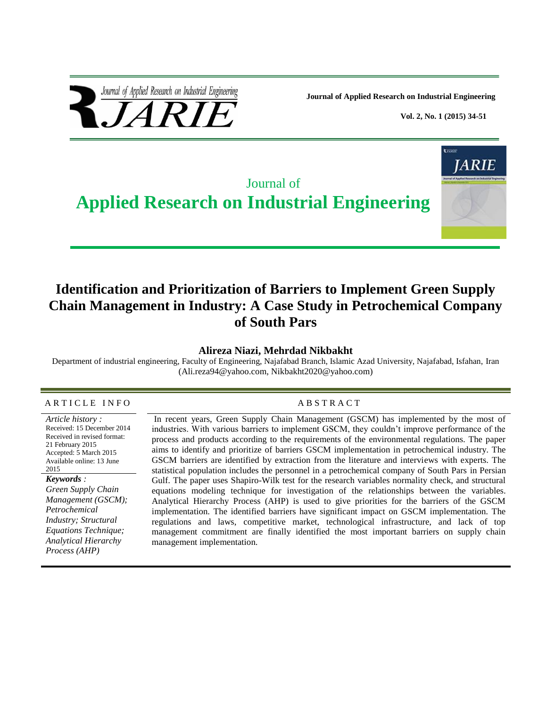

 **Journal of Applied Research on Industrial Engineering**

 **Vol. 2, No. 1 (2015) 34-51**



# **Identification and Prioritization of Barriers to Implement Green Supply Chain Management in Industry: A Case Study in Petrochemical Company of South Pars**

#### **Alireza Niazi, Mehrdad Nikbakht**

Department of industrial engineering, Faculty of Engineering, Najafabad Branch, Islamic Azad University, Najafabad, Isfahan, Iran [\(Ali.reza94@yahoo.com,](mailto:Ali.reza94@yahoo.com) [Nikbakht2020@yahoo.com\)](mailto:Nikbakht2020@yahoo.com)

#### A R T I C L E IN FO
A B S T R A C T

*Article history :* Received: 15 December 2014 Received in revised format: 21 February 2015 Accepted: 5 March 2015 Available online: 13 June 2015

#### *Keywords :*

*Green Supply Chain Management (GSCM); Petrochemical Industry; Structural Equations Technique; Analytical Hierarchy Process (AHP)*

In recent years, Green Supply Chain Management (GSCM) has implemented by the most of industries. With various barriers to implement GSCM, they couldn't improve performance of the process and products according to the requirements of the environmental regulations. The paper aims to identify and prioritize of barriers GSCM implementation in petrochemical industry. The GSCM barriers are identified by extraction from the literature and interviews with experts. The statistical population includes the personnel in a petrochemical company of South Pars in Persian Gulf. The paper uses Shapiro-Wilk test for the research variables normality check, and structural equations modeling technique for investigation of the relationships between the variables. Analytical Hierarchy Process (AHP) is used to give priorities for the barriers of the GSCM implementation. The identified barriers have significant impact on GSCM implementation. The regulations and laws, competitive market, technological infrastructure, and lack of top management commitment are finally identified the most important barriers on supply chain management implementation.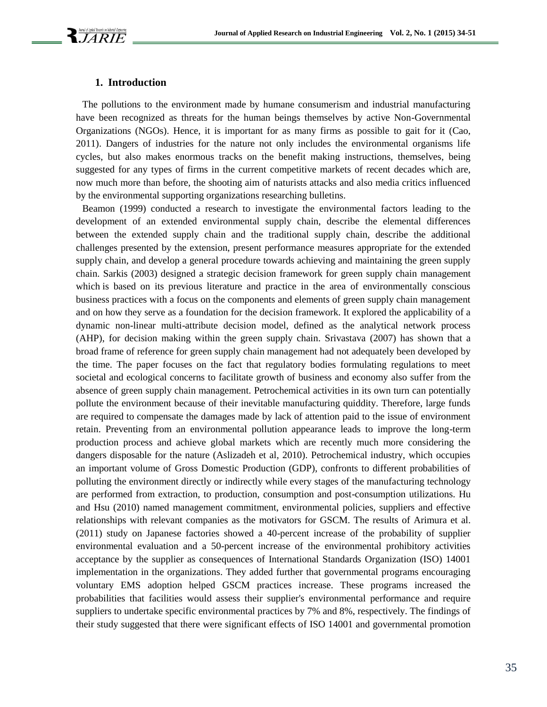#### **1. Introduction**

The pollutions to the environment made by humane consumerism and industrial manufacturing have been recognized as threats for the human beings themselves by active Non-Governmental Organizations (NGOs). Hence, it is important for as many firms as possible to gait for it (Cao, 2011). Dangers of industries for the nature not only includes the environmental organisms life cycles, but also makes enormous tracks on the benefit making instructions, themselves, being suggested for any types of firms in the current competitive markets of recent decades which are, now much more than before, the shooting aim of naturists attacks and also media critics influenced by the environmental supporting organizations researching bulletins.

Beamon (1999) conducted a research to investigate the environmental factors leading to the development of an extended environmental supply chain, describe the elemental differences between the extended supply chain and the traditional supply chain, describe the additional challenges presented by the extension, present performance measures appropriate for the extended supply chain, and develop a general procedure towards achieving and maintaining the green supply chain. Sarkis (2003) designed a strategic decision framework for green supply chain management which is based on its previous literature and practice in the area of environmentally conscious business practices with a focus on the components and elements of green supply chain management and on how they serve as a foundation for the decision framework. It explored the applicability of a dynamic non-linear multi-attribute decision model, defined as the analytical network process (AHP), for decision making within the green supply chain. Srivastava (2007) has shown that a broad frame of reference for green supply chain management had not adequately been developed by the time. The paper focuses on the fact that regulatory bodies formulating regulations to meet societal and ecological concerns to facilitate growth of business and economy also suffer from the absence of green supply chain management. Petrochemical activities in its own turn can potentially pollute the environment because of their inevitable manufacturing quiddity. Therefore, large funds are required to compensate the damages made by lack of attention paid to the issue of environment retain. Preventing from an environmental pollution appearance leads to improve the long-term production process and achieve global markets which are recently much more considering the dangers disposable for the nature (Aslizadeh et al, 2010). Petrochemical industry, which occupies an important volume of Gross Domestic Production (GDP), confronts to different probabilities of polluting the environment directly or indirectly while every stages of the manufacturing technology are performed from extraction, to production, consumption and post-consumption utilizations. Hu and Hsu (2010) named management commitment, environmental policies, suppliers and effective relationships with relevant companies as the motivators for GSCM. The results of Arimura et al. (2011) study on Japanese factories showed a 40-percent increase of the probability of supplier environmental evaluation and a 50-percent increase of the environmental prohibitory activities acceptance by the supplier as consequences of International Standards Organization (ISO) 14001 implementation in the organizations. They added further that governmental programs encouraging voluntary EMS adoption helped GSCM practices increase. These programs increased the probabilities that facilities would assess their supplier's environmental performance and require suppliers to undertake specific environmental practices by 7% and 8%, respectively. The findings of their study suggested that there were significant effects of ISO 14001 and governmental promotion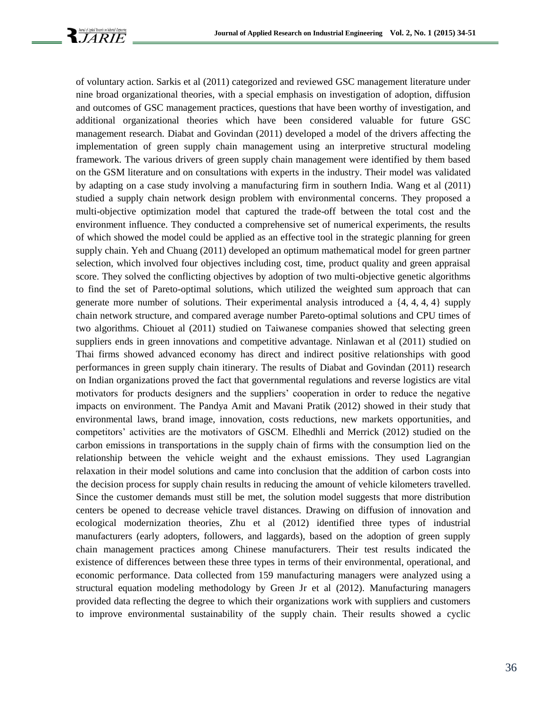

of voluntary action. Sarkis et al (2011) categorized and reviewed GSC management literature under nine broad organizational theories, with a special emphasis on investigation of adoption, diffusion and outcomes of GSC management practices, questions that have been worthy of investigation, and additional organizational theories which have been considered valuable for future GSC management research. Diabat and Govindan (2011) developed a model of the drivers affecting the implementation of green supply chain management using an interpretive structural modeling framework. The various drivers of green supply chain management were identified by them based on the GSM literature and on consultations with experts in the industry. Their model was validated by adapting on a case study involving a manufacturing firm in southern India. Wang et al (2011) studied a supply chain network design problem with environmental concerns. They proposed a multi-objective optimization model that captured the trade-off between the total cost and the environment influence. They conducted a comprehensive set of numerical experiments, the results of which showed the model could be applied as an effective tool in the strategic planning for green supply chain. Yeh and Chuang (2011) developed an optimum mathematical model for green partner selection, which involved four objectives including cost, time, product quality and green appraisal score. They solved the conflicting objectives by adoption of two multi-objective genetic algorithms to find the set of Pareto-optimal solutions, which utilized the weighted sum approach that can generate more number of solutions. Their experimental analysis introduced a {4, 4, 4, 4} supply chain network structure, and compared average number Pareto-optimal solutions and CPU times of two algorithms. Chiouet al (2011) studied on Taiwanese companies showed that selecting green suppliers ends in green innovations and competitive advantage. Ninlawan et al (2011) studied on Thai firms showed advanced economy has direct and indirect positive relationships with good performances in green supply chain itinerary. The results of Diabat and Govindan (2011) research on Indian organizations proved the fact that governmental regulations and reverse logistics are vital motivators for products designers and the suppliers' cooperation in order to reduce the negative impacts on environment. The Pandya Amit and Mavani Pratik (2012) showed in their study that environmental laws, brand image, innovation, costs reductions, new markets opportunities, and competitors' activities are the motivators of GSCM. Elhedhli and Merrick (2012) studied on the carbon emissions in transportations in the supply chain of firms with the consumption lied on the relationship between the vehicle weight and the exhaust emissions. They used Lagrangian relaxation in their model solutions and came into conclusion that the addition of carbon costs into the decision process for supply chain results in reducing the amount of vehicle kilometers travelled. Since the customer demands must still be met, the solution model suggests that more distribution centers be opened to decrease vehicle travel distances. Drawing on diffusion of innovation and ecological modernization theories, Zhu et al (2012) identified three types of industrial manufacturers (early adopters, followers, and laggards), based on the adoption of green supply chain management practices among Chinese manufacturers. Their test results indicated the existence of differences between these three types in terms of their environmental, operational, and economic performance. Data collected from 159 manufacturing managers were analyzed using a structural equation modeling methodology by Green Jr et al (2012). Manufacturing managers provided data reflecting the degree to which their organizations work with suppliers and customers to improve environmental sustainability of the supply chain. Their results showed a cyclic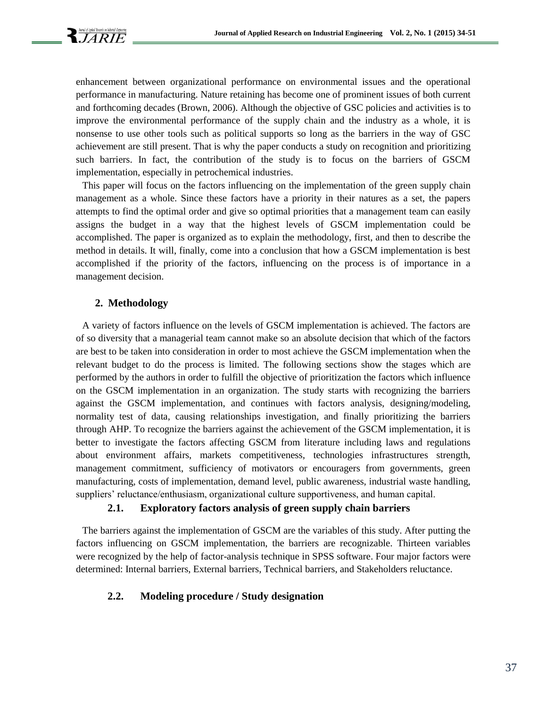

enhancement between organizational performance on environmental issues and the operational performance in manufacturing. Nature retaining has become one of prominent issues of both current and forthcoming decades (Brown, 2006). Although the objective of GSC policies and activities is to improve the environmental performance of the supply chain and the industry as a whole, it is nonsense to use other tools such as political supports so long as the barriers in the way of GSC achievement are still present. That is why the paper conducts a study on recognition and prioritizing such barriers. In fact, the contribution of the study is to focus on the barriers of GSCM implementation, especially in petrochemical industries.

This paper will focus on the factors influencing on the implementation of the green supply chain management as a whole. Since these factors have a priority in their natures as a set, the papers attempts to find the optimal order and give so optimal priorities that a management team can easily assigns the budget in a way that the highest levels of GSCM implementation could be accomplished. The paper is organized as to explain the methodology, first, and then to describe the method in details. It will, finally, come into a conclusion that how a GSCM implementation is best accomplished if the priority of the factors, influencing on the process is of importance in a management decision.

#### **2. Methodology**

A variety of factors influence on the levels of GSCM implementation is achieved. The factors are of so diversity that a managerial team cannot make so an absolute decision that which of the factors are best to be taken into consideration in order to most achieve the GSCM implementation when the relevant budget to do the process is limited. The following sections show the stages which are performed by the authors in order to fulfill the objective of prioritization the factors which influence on the GSCM implementation in an organization. The study starts with recognizing the barriers against the GSCM implementation, and continues with factors analysis, designing/modeling, normality test of data, causing relationships investigation, and finally prioritizing the barriers through AHP. To recognize the barriers against the achievement of the GSCM implementation, it is better to investigate the factors affecting GSCM from literature including laws and regulations about environment affairs, markets competitiveness, technologies infrastructures strength, management commitment, sufficiency of motivators or encouragers from governments, green manufacturing, costs of implementation, demand level, public awareness, industrial waste handling, suppliers' reluctance/enthusiasm, organizational culture supportiveness, and human capital.

### **2.1. Exploratory factors analysis of green supply chain barriers**

The barriers against the implementation of GSCM are the variables of this study. After putting the factors influencing on GSCM implementation, the barriers are recognizable. Thirteen variables were recognized by the help of factor-analysis technique in SPSS software. Four major factors were determined: Internal barriers, External barriers, Technical barriers, and Stakeholders reluctance.

### **2.2. Modeling procedure / Study designation**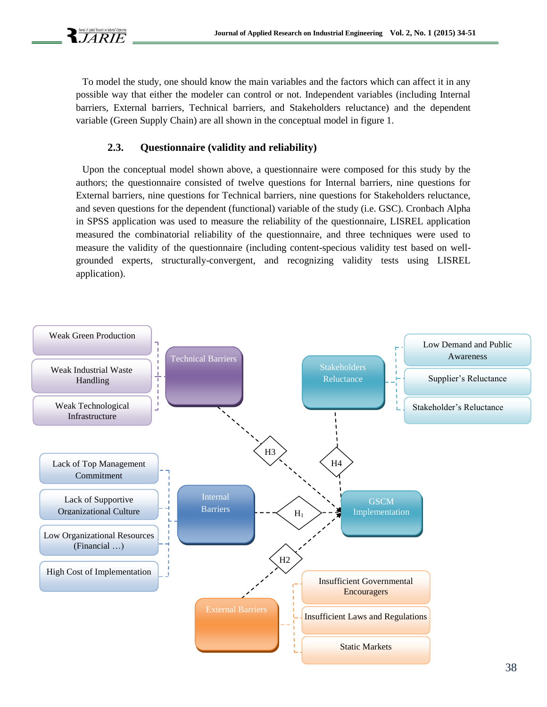To model the study, one should know the main variables and the factors which can affect it in any possible way that either the modeler can control or not. Independent variables (including Internal barriers, External barriers, Technical barriers, and Stakeholders reluctance) and the dependent variable (Green Supply Chain) are all shown in the conceptual model in figure 1.

# **2.3. Questionnaire (validity and reliability)**

Upon the conceptual model shown above, a questionnaire were composed for this study by the authors; the questionnaire consisted of twelve questions for Internal barriers, nine questions for External barriers, nine questions for Technical barriers, nine questions for Stakeholders reluctance, and seven questions for the dependent (functional) variable of the study (i.e. GSC). Cronbach Alpha in SPSS application was used to measure the reliability of the questionnaire, LISREL application measured the combinatorial reliability of the questionnaire, and three techniques were used to measure the validity of the questionnaire (including content-specious validity test based on wellgrounded experts, structurally-convergent, and recognizing validity tests using LISREL application).

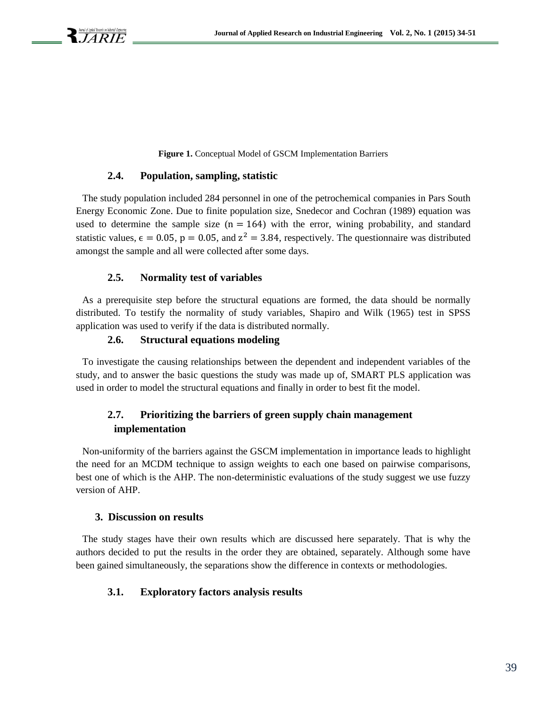**Figure 1.** Conceptual Model of GSCM Implementation Barriers

#### **2.4. Population, sampling, statistic**

The study population included 284 personnel in one of the petrochemical companies in Pars South Energy Economic Zone. Due to finite population size, Snedecor and Cochran (1989) equation was used to determine the sample size  $(n = 164)$  with the error, wining probability, and standard statistic values,  $\epsilon = 0.05$ ,  $p = 0.05$ , and  $z^2 = 3.84$ , respectively. The questionnaire was distributed amongst the sample and all were collected after some days.

#### **2.5. Normality test of variables**

As a prerequisite step before the structural equations are formed, the data should be normally distributed. To testify the normality of study variables, Shapiro and Wilk (1965) test in SPSS application was used to verify if the data is distributed normally.

#### **2.6. Structural equations modeling**

To investigate the causing relationships between the dependent and independent variables of the study, and to answer the basic questions the study was made up of, SMART PLS application was used in order to model the structural equations and finally in order to best fit the model.

# **2.7. Prioritizing the barriers of green supply chain management implementation**

Non-uniformity of the barriers against the GSCM implementation in importance leads to highlight the need for an MCDM technique to assign weights to each one based on pairwise comparisons, best one of which is the AHP. The non-deterministic evaluations of the study suggest we use fuzzy version of AHP.

#### **3. Discussion on results**

The study stages have their own results which are discussed here separately. That is why the authors decided to put the results in the order they are obtained, separately. Although some have been gained simultaneously, the separations show the difference in contexts or methodologies.

#### **3.1. Exploratory factors analysis results**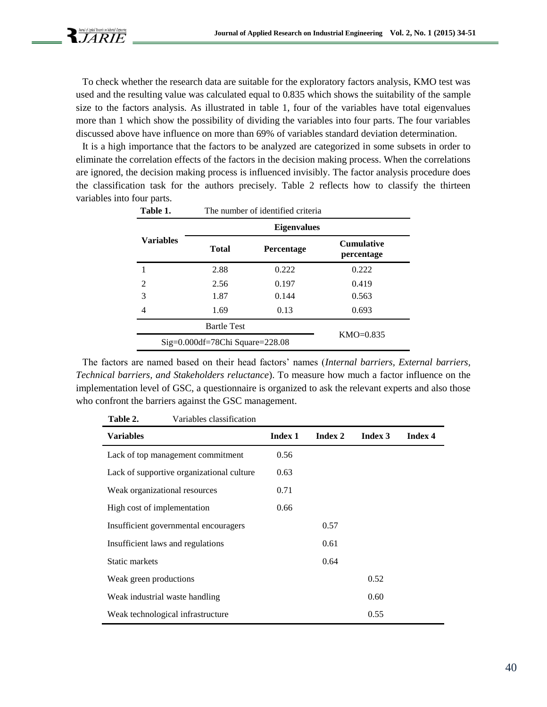To check whether the research data are suitable for the exploratory factors analysis, KMO test was used and the resulting value was calculated equal to 0.835 which shows the suitability of the sample size to the factors analysis. As illustrated in table 1, four of the variables have total eigenvalues more than 1 which show the possibility of dividing the variables into four parts. The four variables discussed above have influence on more than 69% of variables standard deviation determination.

It is a high importance that the factors to be analyzed are categorized in some subsets in order to eliminate the correlation effects of the factors in the decision making process. When the correlations are ignored, the decision making process is influenced invisibly. The factor analysis procedure does the classification task for the authors precisely. Table 2 reflects how to classify the thirteen variables into four parts.

| Table 1.                          | The number of identified criteria |       |                                 |  |  |  |
|-----------------------------------|-----------------------------------|-------|---------------------------------|--|--|--|
|                                   | <b>Eigenvalues</b>                |       |                                 |  |  |  |
| <b>Variables</b>                  | <b>Total</b><br><b>Percentage</b> |       | <b>Cumulative</b><br>percentage |  |  |  |
|                                   | 2.88                              | 0.222 | 0.222                           |  |  |  |
| 2                                 | 2.56                              | 0.197 | 0.419                           |  |  |  |
| 3                                 | 1.87                              | 0.144 | 0.563                           |  |  |  |
| 4                                 | 1.69                              | 0.13  | 0.693                           |  |  |  |
|                                   | <b>Bartle Test</b>                |       |                                 |  |  |  |
| $Sig=0.000df=78Chi$ Square=228.08 |                                   |       | KMO=0.835                       |  |  |  |

The factors are named based on their head factors' names (*Internal barriers, External barriers, Technical barriers, and Stakeholders reluctance*). To measure how much a factor influence on the implementation level of GSC, a questionnaire is organized to ask the relevant experts and also those who confront the barriers against the GSC management.

| Table 2.<br>Variables classification      |                |         |         |         |
|-------------------------------------------|----------------|---------|---------|---------|
| <b>Variables</b>                          | <b>Index 1</b> | Index 2 | Index 3 | Index 4 |
| Lack of top management commitment         | 0.56           |         |         |         |
| Lack of supportive organizational culture | 0.63           |         |         |         |
| Weak organizational resources             | 0.71           |         |         |         |
| High cost of implementation               | 0.66           |         |         |         |
| Insufficient governmental encouragers     |                | 0.57    |         |         |
| Insufficient laws and regulations         |                | 0.61    |         |         |
| Static markets                            |                | 0.64    |         |         |
| Weak green productions                    |                |         | 0.52    |         |
| Weak industrial waste handling            |                |         | 0.60    |         |
| Weak technological infrastructure         |                |         | 0.55    |         |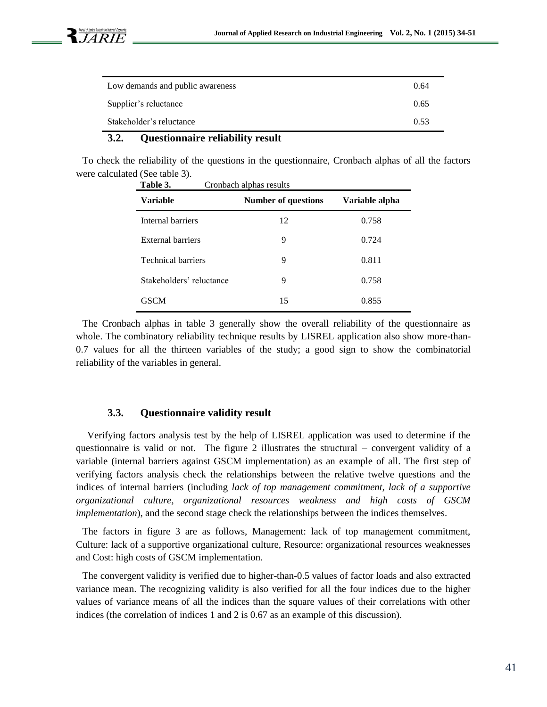| Low demands and public awareness | 0.64 |
|----------------------------------|------|
| Supplier's reluctance            | 0.65 |
| Stakeholder's reluctance         | 0.53 |

# **3.2. Questionnaire reliability result**

To check the reliability of the questions in the questionnaire, Cronbach alphas of all the factors were calculated (See table 3).

| Table 3.                  | Cronbach alphas results    |                |
|---------------------------|----------------------------|----------------|
| Variable                  | <b>Number of questions</b> | Variable alpha |
| Internal barriers         | 12                         | 0.758          |
| <b>External barriers</b>  | 9                          | 0.724          |
| <b>Technical barriers</b> | 9                          | 0.811          |
| Stakeholders' reluctance  | 9                          | 0.758          |
| <b>GSCM</b>               | 15                         | 0.855          |

The Cronbach alphas in table 3 generally show the overall reliability of the questionnaire as whole. The combinatory reliability technique results by LISREL application also show more-than-0.7 values for all the thirteen variables of the study; a good sign to show the combinatorial reliability of the variables in general.

### **3.3. Questionnaire validity result**

 Verifying factors analysis test by the help of LISREL application was used to determine if the questionnaire is valid or not. The figure 2 illustrates the structural – convergent validity of a variable (internal barriers against GSCM implementation) as an example of all. The first step of verifying factors analysis check the relationships between the relative twelve questions and the indices of internal barriers (including *lack of top management commitment, lack of a supportive organizational culture, organizational resources weakness and high costs of GSCM implementation*), and the second stage check the relationships between the indices themselves.

The factors in figure 3 are as follows, Management: lack of top management commitment, Culture: lack of a supportive organizational culture, Resource: organizational resources weaknesses and Cost: high costs of GSCM implementation.

The convergent validity is verified due to higher-than-0.5 values of factor loads and also extracted variance mean. The recognizing validity is also verified for all the four indices due to the higher values of variance means of all the indices than the square values of their correlations with other indices (the correlation of indices 1 and 2 is 0.67 as an example of this discussion).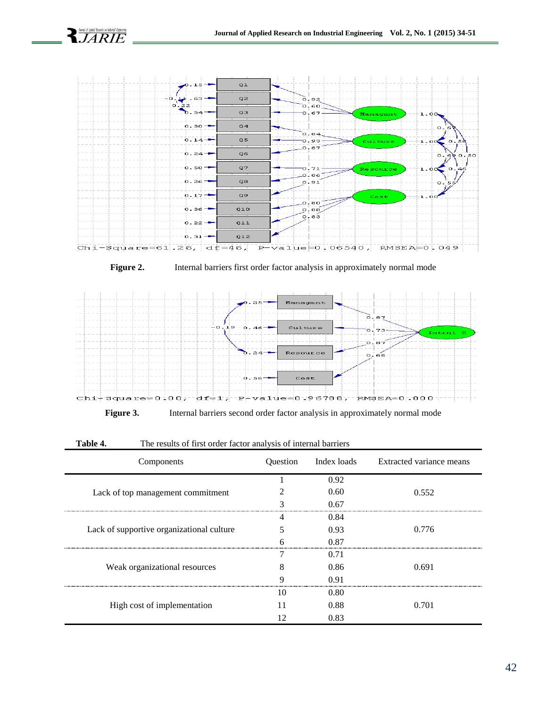

**Figure 2.** Internal barriers first order factor analysis in approximately normal mode



**Figure 3.** Internal barriers second order factor analysis in approximately normal mode

| Components                                | Question | Index loads | Extracted variance means |
|-------------------------------------------|----------|-------------|--------------------------|
|                                           |          | 0.92        |                          |
| Lack of top management commitment         |          | 0.60        | 0.552                    |
|                                           |          | 0.67        |                          |
|                                           |          | 0.84        |                          |
| Lack of supportive organizational culture |          | 0.93        | 0.776                    |
|                                           |          | 0.87        |                          |
|                                           |          | 0.71        |                          |
| Weak organizational resources             | 8        | 0.86        | 0.691                    |
|                                           | Q        | 0.91        |                          |
|                                           | 10       | 0.80        |                          |
| High cost of implementation               |          | 0.88        | 0.701                    |
|                                           | 12       | 0.83        |                          |

**Table 4.** The results of first order factor analysis of internal barriers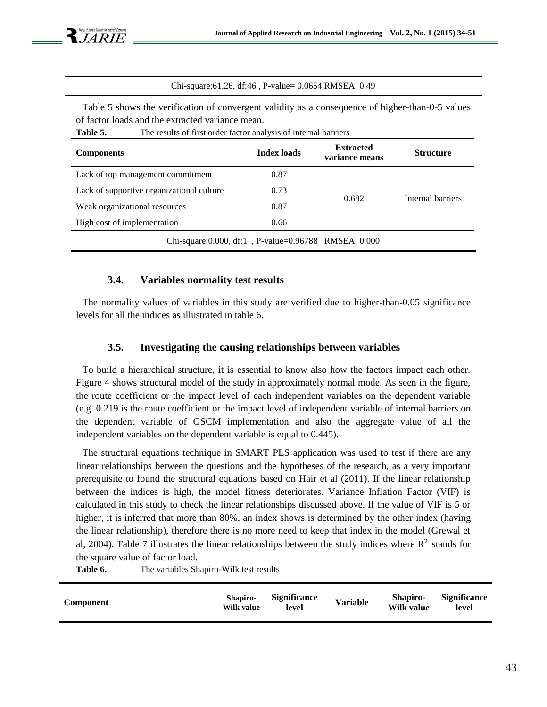Chi-square:61.26, df:46 , P-value= 0.0654 RMSEA: 0.49

Table 5 shows the verification of convergent validity as a consequence of higher-than-0-5 values of factor loads and the extracted variance mean.

| <b>Components</b>                                       | <b>Index loads</b> | <b>Extracted</b><br>variance means | <b>Structure</b>  |
|---------------------------------------------------------|--------------------|------------------------------------|-------------------|
| Lack of top management commitment                       | 0.87               |                                    |                   |
| Lack of supportive organizational culture               | 0.73               |                                    |                   |
| Weak organizational resources                           | 0.87               | 0.682                              | Internal barriers |
| High cost of implementation                             | 0.66               |                                    |                   |
| Chi-square: 0.000, df: 1, P-value= 0.96788 RMSEA: 0.000 |                    |                                    |                   |

Table 5. The results of first order factor analysis of internal barriers

#### **3.4. Variables normality test results**

The normality values of variables in this study are verified due to higher-than-0.05 significance levels for all the indices as illustrated in table 6.

#### **3.5. Investigating the causing relationships between variables**

To build a hierarchical structure, it is essential to know also how the factors impact each other. Figure 4 shows structural model of the study in approximately normal mode. As seen in the figure, the route coefficient or the impact level of each independent variables on the dependent variable (e.g. 0.219 is the route coefficient or the impact level of independent variable of internal barriers on the dependent variable of GSCM implementation and also the aggregate value of all the independent variables on the dependent variable is equal to 0.445).

The structural equations technique in SMART PLS application was used to test if there are any linear relationships between the questions and the hypotheses of the research, as a very important prerequisite to found the structural equations based on Hair et al (2011). If the linear relationship between the indices is high, the model fitness deteriorates. Variance Inflation Factor (VIF) is calculated in this study to check the linear relationships discussed above. If the value of VIF is 5 or higher, it is inferred that more than 80%, an index shows is determined by the other index (having the linear relationship), therefore there is no more need to keep that index in the model (Grewal et al, 2004). Table 7 illustrates the linear relationships between the study indices where  $R^2$  stands for the square value of factor load.

Table 6. The variables Shapiro-Wilk test results

| <b>Component</b> | Shapiro-<br>Wilk value | <b>Significance</b><br>level | <b>Variable</b> | <b>Shapiro-</b><br>Wilk value | <b>Significance</b><br>level |
|------------------|------------------------|------------------------------|-----------------|-------------------------------|------------------------------|
|                  |                        |                              |                 |                               |                              |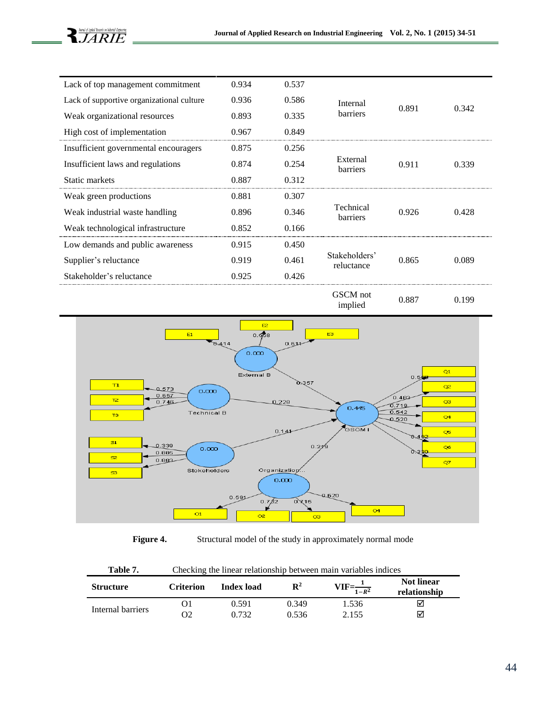| Lack of top management commitment         | 0.934 | 0.537 |                              |       |       |
|-------------------------------------------|-------|-------|------------------------------|-------|-------|
| Lack of supportive organizational culture | 0.936 | 0.586 | Internal                     |       |       |
| Weak organizational resources             | 0.893 | 0.335 | <b>barriers</b>              | 0.891 | 0.342 |
| High cost of implementation               | 0.967 | 0.849 |                              |       |       |
| Insufficient governmental encouragers     | 0.875 | 0.256 |                              |       |       |
| Insufficient laws and regulations         | 0.874 | 0.254 | External<br>barriers         | 0.911 | 0.339 |
| Static markets                            | 0.887 | 0.312 |                              |       |       |
| Weak green productions                    | 0.881 | 0.307 |                              |       |       |
| Weak industrial waste handling            | 0.896 | 0.346 | Technical<br><b>barriers</b> | 0.926 | 0.428 |
| Weak technological infrastructure         | 0.852 | 0.166 |                              |       |       |
| Low demands and public awareness          | 0.915 | 0.450 |                              |       |       |
| Supplier's reluctance                     | 0.919 | 0.461 | Stakeholders'<br>reluctance  | 0.865 | 0.089 |
| Stakeholder's reluctance                  | 0.925 | 0.426 |                              |       |       |
|                                           |       |       |                              |       |       |



**Figure 4.** Structural model of the study in approximately normal mode

| Table 7. | Checking the linear relationship between main variables indices |
|----------|-----------------------------------------------------------------|
|----------|-----------------------------------------------------------------|

| <b>Structure</b>  | <b>Criterion</b> | <b>Index load</b> | $\mathbf{R}^2$ | $VIF = \frac{1}{1 - R^2}$ | <b>Not linear</b><br>relationship |
|-------------------|------------------|-------------------|----------------|---------------------------|-----------------------------------|
| Internal barriers |                  | 0.591             | 0.349          | 1.536                     | ☑                                 |
|                   | Э2               | በ 732             | 9.536          | 2.155                     | ☑                                 |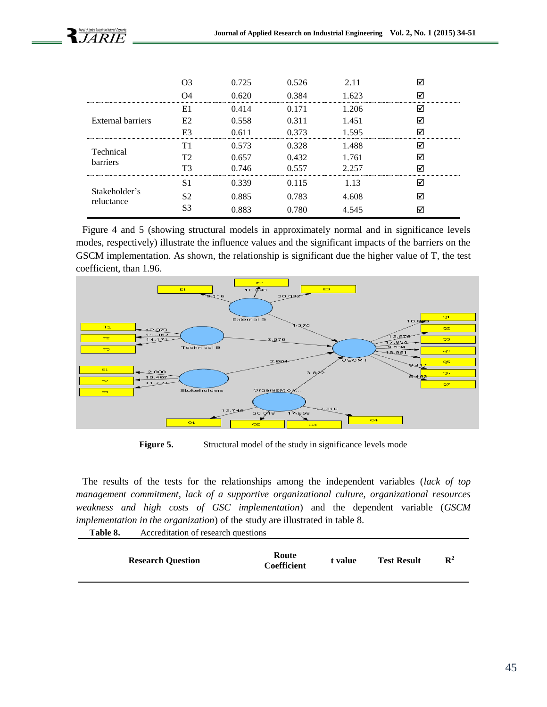

|                             |    | 0.725 | 0.526 | 2.11  |  |
|-----------------------------|----|-------|-------|-------|--|
|                             |    | 0.620 | 0.384 | 1.623 |  |
|                             | E1 | 0.414 | O 171 | 1.206 |  |
| External barriers           | F2 | 0.558 | 0.311 | 1.451 |  |
|                             |    | 0.611 | 0.373 | 1.595 |  |
| Technical                   | Τ1 | 0.573 | 0.328 | 1.488 |  |
| <b>barriers</b>             | T2 | 0.657 | 0.432 | 1.761 |  |
|                             |    | 0.746 | 0.557 | 2.257 |  |
|                             | S  | 0.339 | 0.115 | l 13  |  |
| Stakeholder's<br>reluctance | S2 | 0.885 | 0.783 | 4.608 |  |
|                             | S3 | 0.883 | 0.780 | 4.545 |  |

Figure 4 and 5 (showing structural models in approximately normal and in significance levels modes, respectively) illustrate the influence values and the significant impacts of the barriers on the GSCM implementation. As shown, the relationship is significant due the higher value of T, the test coefficient, than 1.96.



**Figure 5.** Structural model of the study in significance levels mode

The results of the tests for the relationships among the independent variables (*lack of top management commitment, lack of a supportive organizational culture, organizational resources weakness and high costs of GSC implementation*) and the dependent variable (*GSCM implementation in the organization*) of the study are illustrated in table 8. **Table 8.** Accreditation of research questions

| . | <u>ricercamaton of rebearen auconomo</u> |                      |         |                    |                |
|---|------------------------------------------|----------------------|---------|--------------------|----------------|
|   | <b>Research Question</b>                 | Route<br>Coefficient | t value | <b>Test Result</b> | $\mathbf{R}^2$ |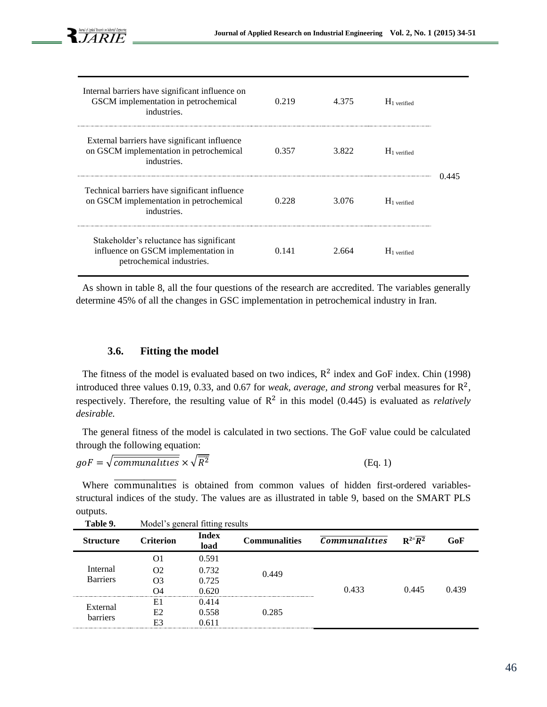| Internal barriers have significant influence on<br>GSCM implementation in petrochemical<br>industries.       | 0.219 | 4.375 | $H_1$ verified |        |
|--------------------------------------------------------------------------------------------------------------|-------|-------|----------------|--------|
| External barriers have significant influence<br>on GSCM implementation in petrochemical<br>industries.       | 0.357 | 3.822 | $H_1$ verified |        |
| Technical barriers have significant influence<br>on GSCM implementation in petrochemical<br>industries.      | 0.228 | 3.076 | $H_1$ verified | () 445 |
| Stakeholder's reluctance has significant<br>influence on GSCM implementation in<br>petrochemical industries. | 0.141 | 2.664 | $H_1$ verified |        |

As shown in table 8, all the four questions of the research are accredited. The variables generally determine 45% of all the changes in GSC implementation in petrochemical industry in Iran.

### **3.6. Fitting the model**

The fitness of the model is evaluated based on two indices,  $R^2$  index and GoF index. Chin (1998) introduced three values 0.19, 0.33, and 0.67 for *weak, average, and strong* verbal measures for  $\mathbb{R}^2$ , respectively. Therefore, the resulting value of  $\mathbb{R}^2$  in this model (0.445) is evaluated as *relatively desirable.*

The general fitness of the model is calculated in two sections. The GoF value could be calculated through the following equation:

$$
g \circ F = \sqrt{\overline{communalities}} \times \sqrt{\overline{R^2}} \tag{Eq. 1}
$$

Where **communalities** is obtained from common values of hidden first-ordered variablesstructural indices of the study. The values are as illustrated in table 9, based on the SMART PLS outputs.

| <b>Table</b> 2.                                                                         | <b>NOULE 5 general munity results</b> |                      |                      |                      |                        |       |
|-----------------------------------------------------------------------------------------|---------------------------------------|----------------------|----------------------|----------------------|------------------------|-------|
| <b>Structure</b>                                                                        | <b>Criterion</b>                      | <b>Index</b><br>load | <b>Communalities</b> | <b>Communalities</b> | $R^{2=}\overline{R^2}$ | GoF   |
|                                                                                         |                                       | 0.591                |                      |                      |                        |       |
| Internal<br>O2<br><b>Barriers</b><br>O3<br>O4<br>E1<br>External<br>E2<br>barriers<br>E3 |                                       | 0.732                | 0.449                |                      |                        |       |
|                                                                                         |                                       | 0.725                |                      |                      |                        |       |
|                                                                                         |                                       | 0.620                |                      | 0.433                | 0.445                  | 0.439 |
|                                                                                         |                                       | 0.414                |                      |                      |                        |       |
|                                                                                         |                                       | 0.558                | 0.285                |                      |                        |       |
|                                                                                         |                                       | 0.611                |                      |                      |                        |       |

 **Table 9.** Model's general fitting results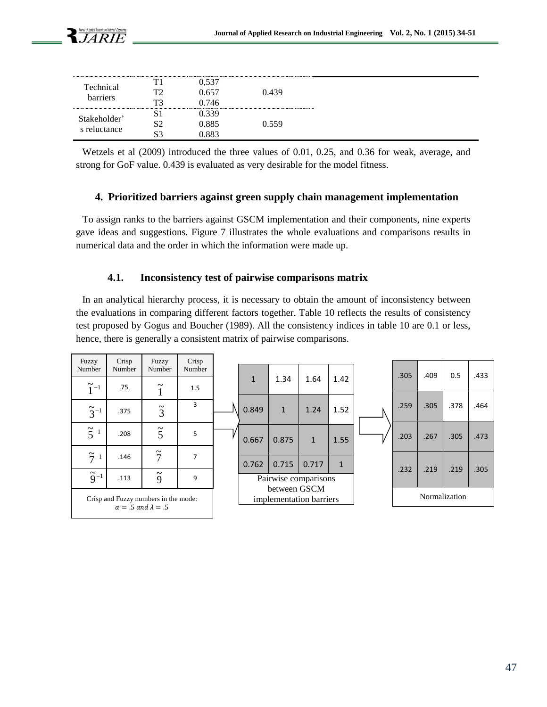| Technical<br>barriers    | TΩ<br>ፐገ | 657<br>746  | 0.439 |
|--------------------------|----------|-------------|-------|
| Stakeholder <sup>3</sup> |          | 339         |       |
| s reluctance             |          | .885<br>883 | .559  |

Wetzels et al (2009) introduced the three values of 0.01, 0.25, and 0.36 for weak, average, and strong for GoF value. 0.439 is evaluated as very desirable for the model fitness.

### **4. Prioritized barriers against green supply chain management implementation**

To assign ranks to the barriers against GSCM implementation and their components, nine experts gave ideas and suggestions. Figure 7 illustrates the whole evaluations and comparisons results in numerical data and the order in which the information were made up.

# **4.1. Inconsistency test of pairwise comparisons matrix**

In an analytical hierarchy process, it is necessary to obtain the amount of inconsistency between the evaluations in comparing different factors together. Table 10 reflects the results of consistency test proposed by Gogus and Boucher (1989). All the consistency indices in table 10 are 0.1 or less, hence, there is generally a consistent matrix of pairwise comparisons.

| Fuzzy                | Crisp                                | Fuzzy               | Crisp  |                                         |              |                      |              |               |      |      |      |      |
|----------------------|--------------------------------------|---------------------|--------|-----------------------------------------|--------------|----------------------|--------------|---------------|------|------|------|------|
| Number               | Number                               | Number              | Number |                                         |              |                      |              |               | .305 | .409 | 0.5  | .433 |
| $\widetilde{1}$ -1   | .75.                                 | $\widetilde{\cdot}$ | 1.5    |                                         | $\mathbf{1}$ | 1.34                 | 1.64         | 1.42          |      |      |      |      |
|                      |                                      |                     |        |                                         |              |                      |              |               |      |      |      |      |
| $\widetilde{3}^{-1}$ | .375                                 | $\tilde{3}$         | 3      |                                         | 0.849        | $\mathbf{1}$         | 1.24         | 1.52          | .259 | .305 | .378 | .464 |
| $\widetilde{5}^{-1}$ |                                      | $\tilde{5}$         |        |                                         |              |                      |              |               |      |      |      |      |
|                      | .208                                 |                     | 5      |                                         | 0.667        | 0.875                | $\mathbf{1}$ | 1.55          | .203 | .267 | .305 | .473 |
|                      |                                      | $\widetilde{7}$     |        |                                         |              |                      |              |               |      |      |      |      |
| $\widetilde{7}^{-1}$ | .146                                 |                     | 7      |                                         | 0.762        | 0.715                | 0.717        | $\mathbf{1}$  |      |      |      |      |
|                      |                                      |                     |        |                                         |              |                      |              |               | .232 | .219 | .219 | .305 |
| $\tilde{9}^{-1}$     | .113                                 | $\tilde{9}$         | 9      |                                         |              | Pairwise comparisons |              |               |      |      |      |      |
|                      | Crisp and Fuzzy numbers in the mode: |                     |        | between GSCM<br>implementation barriers |              |                      |              | Normalization |      |      |      |      |
|                      | $\alpha = .5$ and $\lambda = .5$     |                     |        |                                         |              |                      |              |               |      |      |      |      |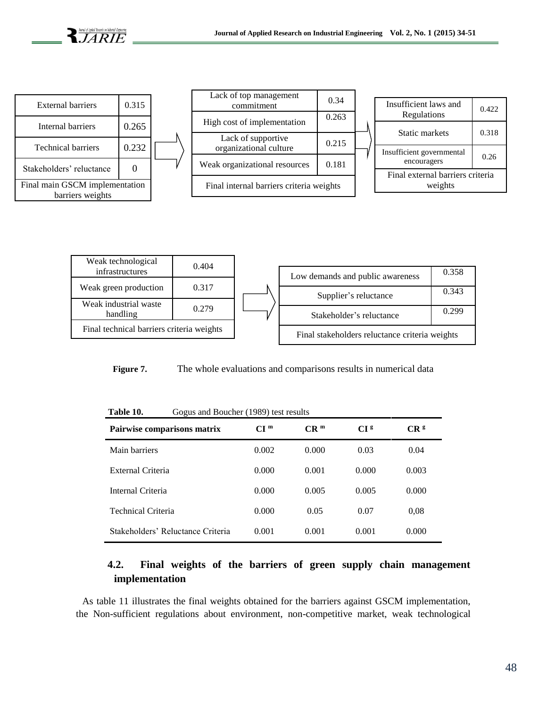

| <b>External barriers</b>                           | 0.315 |  |  |
|----------------------------------------------------|-------|--|--|
| Internal barriers                                  | 0.265 |  |  |
| <b>Technical barriers</b>                          | 0.232 |  |  |
| Stakeholders' reluctance                           |       |  |  |
| Final main GSCM implementation<br>barriers weights |       |  |  |

| Lack of top management<br>commitment         | 0.34  |  |  |  |
|----------------------------------------------|-------|--|--|--|
| High cost of implementation                  | 0.263 |  |  |  |
| Lack of supportive<br>organizational culture | 0.215 |  |  |  |
| Weak organizational resources                | 0.181 |  |  |  |
| Final internal barriers criteria weights     |       |  |  |  |

| Insufficient laws and<br>Regulations        | 0.422 |  |  |
|---------------------------------------------|-------|--|--|
| <b>Static markets</b>                       | 0.318 |  |  |
| Insufficient governmental<br>encouragers    | 0.26  |  |  |
| Final external barriers criteria<br>weights |       |  |  |



**Figure 7.** The whole evaluations and comparisons results in numerical data

| Table 10.<br>Gogus and Boucher (1989) test results |                  |                 |                 |                 |
|----------------------------------------------------|------------------|-----------------|-----------------|-----------------|
| Pairwise comparisons matrix                        | C I <sup>m</sup> | CR <sup>m</sup> | CI <sub>s</sub> | CR <sup>g</sup> |
| Main barriers                                      | 0.002            | 0.000           | 0.03            | 0.04            |
| External Criteria                                  | 0.000            | 0.001           | 0.000           | 0.003           |
| Internal Criteria                                  | 0.000            | 0.005           | 0.005           | 0.000           |
| <b>Technical Criteria</b>                          | 0.000            | 0.05            | 0.07            | 0.08            |
| Stakeholders' Reluctance Criteria                  | 0.001            | 0.001           | 0.001           | 0.000           |

# **4.2. Final weights of the barriers of green supply chain management implementation**

As table 11 illustrates the final weights obtained for the barriers against GSCM implementation, the Non-sufficient regulations about environment, non-competitive market, weak technological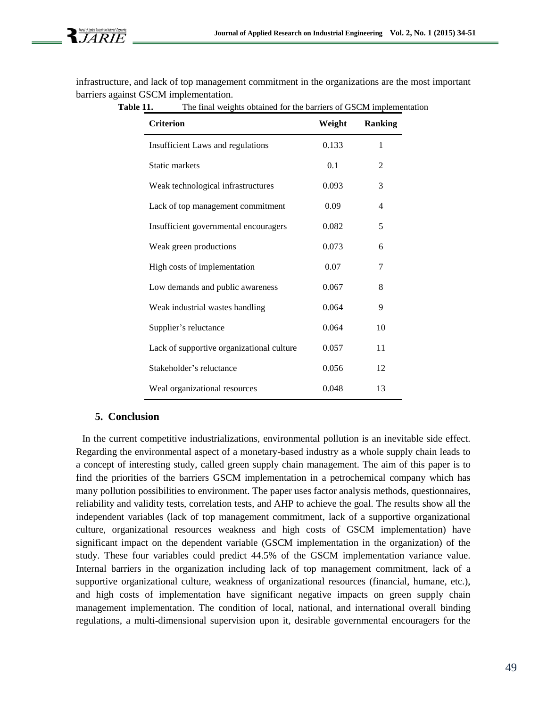infrastructure, and lack of top management commitment in the organizations are the most important barriers against GSCM implementation.

Table 11. The final weights obtained for the barriers of GSCM implementation

| <b>Criterion</b>                          | Weight | <b>Ranking</b> |
|-------------------------------------------|--------|----------------|
| Insufficient Laws and regulations         | 0.133  | 1              |
| Static markets                            | 0.1    | 2              |
| Weak technological infrastructures        | 0.093  | 3              |
| Lack of top management commitment         | 0.09   | 4              |
| Insufficient governmental encouragers     | 0.082  | 5              |
| Weak green productions                    | 0.073  | 6              |
| High costs of implementation              | 0.07   | 7              |
| Low demands and public awareness          | 0.067  | 8              |
| Weak industrial wastes handling           | 0.064  | 9              |
| Supplier's reluctance                     | 0.064  | 10             |
| Lack of supportive organizational culture | 0.057  | 11             |
| Stakeholder's reluctance                  | 0.056  | 12             |
| Weal organizational resources             | 0.048  | 13             |

#### **5. Conclusion**

In the current competitive industrializations, environmental pollution is an inevitable side effect. Regarding the environmental aspect of a monetary-based industry as a whole supply chain leads to a concept of interesting study, called green supply chain management. The aim of this paper is to find the priorities of the barriers GSCM implementation in a petrochemical company which has many pollution possibilities to environment. The paper uses factor analysis methods, questionnaires, reliability and validity tests, correlation tests, and AHP to achieve the goal. The results show all the independent variables (lack of top management commitment, lack of a supportive organizational culture, organizational resources weakness and high costs of GSCM implementation) have significant impact on the dependent variable (GSCM implementation in the organization) of the study. These four variables could predict 44.5% of the GSCM implementation variance value. Internal barriers in the organization including lack of top management commitment, lack of a supportive organizational culture, weakness of organizational resources (financial, humane, etc.), and high costs of implementation have significant negative impacts on green supply chain management implementation. The condition of local, national, and international overall binding regulations, a multi-dimensional supervision upon it, desirable governmental encouragers for the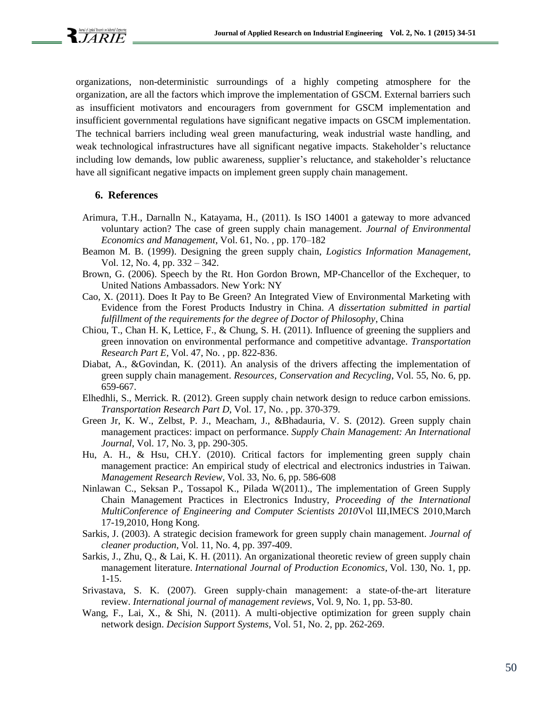

organizations, non-deterministic surroundings of a highly competing atmosphere for the organization, are all the factors which improve the implementation of GSCM. External barriers such as insufficient motivators and encouragers from government for GSCM implementation and insufficient governmental regulations have significant negative impacts on GSCM implementation. The technical barriers including weal green manufacturing, weak industrial waste handling, and weak technological infrastructures have all significant negative impacts. Stakeholder's reluctance including low demands, low public awareness, supplier's reluctance, and stakeholder's reluctance have all significant negative impacts on implement green supply chain management.

#### **6. References**

- Arimura, T.H., Darnalln N., Katayama, H., (2011). Is ISO 14001 a gateway to more advanced voluntary action? The case of green supply chain management. *Journal of Environmental Economics and Management*, Vol. 61, No. , pp. 170–182
- Beamon M. B. (1999). Designing the green supply chain, *Logistics Information Management*, Vol. 12, No. 4, pp. 332 – 342.
- Brown, G. (2006). Speech by the Rt. Hon Gordon Brown, MP-Chancellor of the Exchequer, to United Nations Ambassadors. New York: NY
- Cao, X. (2011). Does It Pay to Be Green? An Integrated View of Environmental Marketing with Evidence from the Forest Products Industry in China. *A dissertation submitted in partial fulfillment of the requirements for the degree of Doctor of Philosophy*, China
- Chiou, T., Chan H. K, Lettice, F., & Chung, S. H. (2011). Influence of greening the suppliers and green innovation on environmental performance and competitive advantage. *Transportation Research Part E*, Vol. 47, No. , pp. 822-836.
- Diabat, A., &Govindan, K. (2011). An analysis of the drivers affecting the implementation of green supply chain management. *Resources, Conservation and Recycling*, Vol. 55, No. 6, pp. 659-667.
- Elhedhli, S., Merrick. R. (2012). Green supply chain network design to reduce carbon emissions. *Transportation Research Part D*, Vol. 17, No. , pp. 370-379.
- Green Jr, K. W., Zelbst, P. J., Meacham, J., &Bhadauria, V. S. (2012). Green supply chain management practices: impact on performance. *Supply Chain Management: An International Journal*, Vol. 17, No. 3, pp. 290-305.
- Hu, A. H., & Hsu, CH.Y. (2010). Critical factors for implementing green supply chain management practice: An empirical study of electrical and electronics industries in Taiwan. *Management Research Review*, Vol. 33, No. 6, pp. 586-608
- Ninlawan C., Seksan P., Tossapol K., Pilada W(2011)., The implementation of Green Supply Chain Management Practices in Electronics Industry, *Proceeding of the International MultiConference of Engineering and Computer Scientists 2010*Vol Ш,IMECS 2010,March 17-19,2010, Hong Kong.
- Sarkis, J. (2003). A strategic decision framework for green supply chain management. *Journal of cleaner production*, Vol. 11, No. 4, pp. 397-409.
- Sarkis, J., Zhu, Q., & Lai, K. H. (2011). An organizational theoretic review of green supply chain management literature. *International Journal of Production Economics*, Vol. 130, No. 1, pp. 1-15.
- Srivastava, S. K. (2007). Green supply‐chain management: a state‐of‐the‐art literature review. *International journal of management reviews*, Vol. 9, No. 1, pp. 53-80.
- Wang, F., Lai, X., & Shi, N. (2011). A multi-objective optimization for green supply chain network design. *Decision Support Systems*, Vol. 51, No. 2, pp. 262-269.